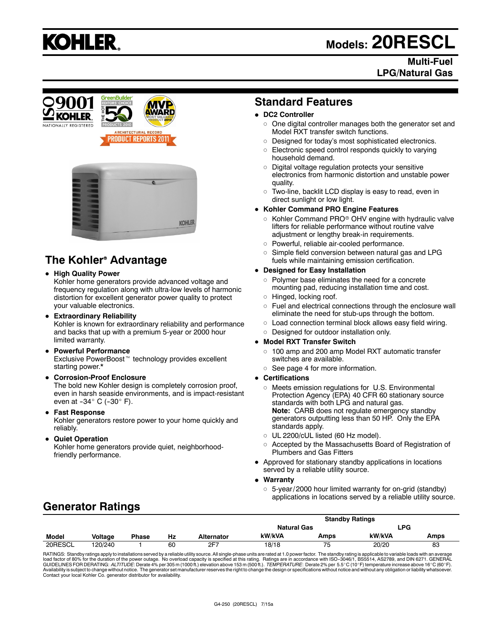# **KOHLER.**

# **Models: 20RESCL**

### **Multi-Fuel LPG/Natural Gas**





# **The Kohler<sup>®</sup> Advantage**

**• High Quality Power** 

Kohler home generators provide advanced voltage and frequency regulation along with ultra-low levels of harmonic distortion for excellent generator power quality to protect your valuable electronics.

- **Extraordinary Reliability** Kohler is known for extraordinary reliability and performance and backs that up with a premium 5-year or 2000 hour limited warranty.
- **Powerful Performance**

Exclusive PowerBoost<sup>™</sup> technology provides excellent starting power.\*

**• Corrosion-Proof Enclosure** 

The bold new Kohler design is completely corrosion proof, even in harsh seaside environments, and is impact-resistant even at  $-34^\circ$  C ( $-30^\circ$  F).

**• Fast Response** 

Kohler generators restore power to your home quickly and reliably.

**• Quiet Operation** 

Kohler home generators provide quiet, neighborhoodfriendly performance.

# **Standard Features**

#### **• DC2 Controller**

- $\circ$  One digital controller manages both the generator set and Model RXT transfer switch functions.
- $\circ$  Designed for today's most sophisticated electronics.
- $\circ$  Electronic speed control responds quickly to varying household demand.
- $\circ$  Digital voltage regulation protects your sensitive electronics from harmonic distortion and unstable power quality.
- $\circ$  Two-line, backlit LCD display is easy to read, even in direct sunlight or low light.

#### **• Kohler Command PRO Engine Features**

- $\circ$  Kohler Command PRO $\circ$  OHV engine with hydraulic valve lifters for reliable performance without routine valve adjustment or lengthy break-in requirements.
- o Powerful, reliable air-cooled performance.
- $\circ$  Simple field conversion between natural gas and LPG fuels while maintaining emission certification.

#### **• Designed for Easy Installation**

- $\circ$  Polymer base eliminates the need for a concrete mounting pad, reducing installation time and cost.
- o Hinged, locking roof.
- $\circ$  Fuel and electrical connections through the enclosure wall eliminate the need for stub-ups through the bottom.
- $\circ$  Load connection terminal block allows easy field wiring.
- o Designed for outdoor installation only.

#### **• Model RXT Transfer Switch**

- $\circ$  100 amp and 200 amp Model RXT automatic transfer switches are available.
- $\circ$  See page 4 for more information.
- **Certifications** 
	- $\circ$  Meets emission regulations for U.S. Environmental Protection Agency (EPA) 40 CFR 60 stationary source standards with both LPG and natural gas. **Note:** CARB does not regulate emergency standby generators outputting less than 50 HP. Only the EPA standards apply.
	- $\circ$  UL 2200/cUL listed (60 Hz model).
	- o Accepted by the Massachusetts Board of Registration of Plumbers and Gas Fitters
- Approved for stationary standby applications in locations served by a reliable utility source.

#### **Warranty**

 $\circ$  5-year/ 2000 hour limited warranty for on-grid (standby) applications in locations served by a reliable utility source.

# **Generator Ratings**

|              |                | <b>Standby Ratings</b> |    |                    |        |            |        |      |
|--------------|----------------|------------------------|----|--------------------|--------|------------|--------|------|
|              |                |                        |    | <b>Natural Gas</b> |        | ∟PG        |        |      |
| <b>Model</b> | <b>Voltage</b> | <b>Phase</b>           | Hz | Alternator         | kW/kVA | Amps       | kW/kVA | Amps |
| 20RESCL      | 120/240        |                        | 60 | 2F7                | 18/18  | $ -$<br>′၁ | 20/20  | 83   |

RATINGS: Standby ratings apply to installations served by a reliable utility source. All single-phase units are rated at 1.0 power factor. The standby rating is applicable to variable loads with an average load factor of 80% for the duration of the power outage. No overload capacity is specified at this rating. Ratings are in accordance with ISO-3046/1, BS5514, AS2789, and DIN 6271. GENERAL<br>GUIDELINES FOR DERATING: *ALTITUDE*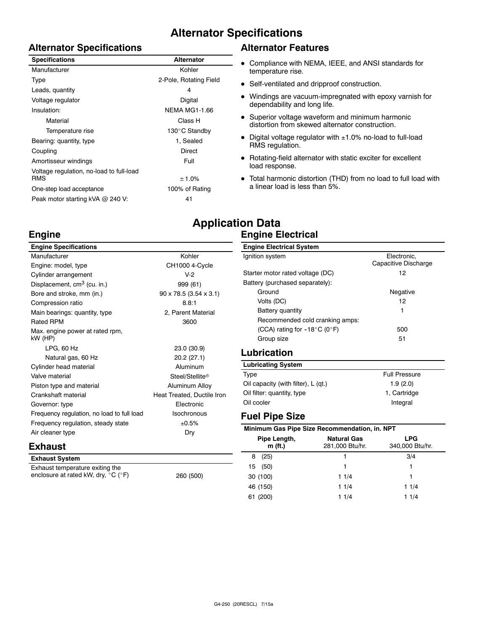# **Alternator Specifications**

#### **Alternator Specifications**

| <b>Specifications</b>                    | <b>Alternator</b>      |
|------------------------------------------|------------------------|
| Manufacturer                             | Kohler                 |
| Type                                     | 2-Pole, Rotating Field |
| Leads, quantity                          | 4                      |
| Voltage regulator                        | Digital                |
| Insulation:                              | <b>NEMA MG1-1.66</b>   |
| Material                                 | Class H                |
| Temperature rise                         | 130°C Standby          |
| Bearing: quantity, type                  | 1, Sealed              |
| Coupling                                 | <b>Direct</b>          |
| Amortisseur windings                     | Full                   |
| Voltage regulation, no-load to full-load |                        |
| <b>RMS</b>                               | ± 1.0%                 |
| One-step load acceptance                 | 100% of Rating         |
| Peak motor starting kVA @ 240 V:         | 41                     |

#### **Alternator Features**

- Compliance with NEMA, IEEE, and ANSI standards for temperature rise.
- Self-ventilated and dripproof construction.
- Windings are vacuum-impregnated with epoxy varnish for dependability and long life.
- Superior voltage waveform and minimum harmonic distortion from skewed alternator construction.
- Digital voltage regulator with  $\pm 1.0\%$  no-load to full-load RMS regulation.
- $\bullet$  Rotating-field alternator with static exciter for excellent load response.
- Total harmonic distortion (THD) from no load to full load with a linear load is less than 5%.

# **Application Data Engine Electrical**

| <b>Engine Specifications</b>               |                                      | <b>Engine Electrical System</b>               |                      |  |
|--------------------------------------------|--------------------------------------|-----------------------------------------------|----------------------|--|
| Manufacturer                               | Kohler                               | Ignition system                               | Electronic,          |  |
| Engine: model, type                        | CH1000 4-Cycle                       |                                               | Capacitive Discharge |  |
| Cylinder arrangement                       | $V-2$                                | Starter motor rated voltage (DC)              | 12                   |  |
| Displacement, cm <sup>3</sup> (cu. in.)    | 999 (61)                             | Battery (purchased separately):               |                      |  |
| Bore and stroke, mm (in.)                  | $90 \times 78.5$ (3.54 $\times$ 3.1) | Ground                                        | Negative             |  |
| Compression ratio                          | 8.8:1                                | Volts (DC)                                    | 12                   |  |
| Main bearings: quantity, type              | 2, Parent Material                   | <b>Battery quantity</b>                       |                      |  |
| <b>Rated RPM</b>                           | 3600                                 | Recommended cold cranking amps:               |                      |  |
| Max. engine power at rated rpm,            |                                      | (CCA) rating for $-18^{\circ}$ C (0°F)        | 500                  |  |
| kW (HP)                                    |                                      | Group size                                    | 51                   |  |
| $LPG$ , 60 Hz                              | 23.0 (30.9)                          | <b>Lubrication</b>                            |                      |  |
| Natural gas, 60 Hz                         | 20.2(27.1)                           |                                               |                      |  |
| Cylinder head material                     | <b>Aluminum</b>                      | <b>Lubricating System</b>                     |                      |  |
| Valve material                             | Steel/Stellite <sup>®</sup>          | Type                                          | <b>Full Pressure</b> |  |
| Piston type and material                   | Aluminum Alloy                       | Oil capacity (with filter), L (qt.)           | 1.9(2.0)             |  |
| Crankshaft material                        | Heat Treated, Ductile Iron           | Oil filter: quantity, type                    | 1, Cartridge         |  |
| Governor: type                             | Electronic                           | Oil cooler                                    | Integral             |  |
| Frequency regulation, no load to full load | Isochronous                          | <b>Fuel Pipe Size</b>                         |                      |  |
| Frequency regulation, steady state         | ±0.5%                                |                                               |                      |  |
| Air cleaner type                           | Dry                                  | Minimum Gas Pipe Size Recommendation, in. NPT |                      |  |
|                                            |                                      | Pipe Length,<br><b>Natural Gas</b>            | <b>LPG</b>           |  |

# **Exhaust**

**Engine**

| <b>Exhaust System</b>                                                                       |           |
|---------------------------------------------------------------------------------------------|-----------|
| Exhaust temperature exiting the<br>enclosure at rated kW, dry, $^{\circ}$ C ( $^{\circ}$ F) | 260 (500) |

| Type                                | <b>Full Pressure</b> |
|-------------------------------------|----------------------|
| Oil capacity (with filter), L (gt.) | 1.9(2.0)             |
| Oil filter: quantity, type          | 1, Cartridge         |
| Oil cooler                          | Integral             |

| Minimum Gas Pipe Size Recommendation, in. NPT |                                       |                               |  |
|-----------------------------------------------|---------------------------------------|-------------------------------|--|
| Pipe Length,<br>$m$ (ft.)                     | <b>Natural Gas</b><br>281,000 Btu/hr. | <b>LPG</b><br>340,000 Btu/hr. |  |
| (25)<br>8                                     |                                       | 3/4                           |  |
| (50)<br>15                                    | 1                                     | 1                             |  |
| 30 (100)                                      | 11/4                                  | 1                             |  |
| 46 (150)                                      | 11/4                                  | 11/4                          |  |
| (200)                                         | 11/4                                  | 11/4                          |  |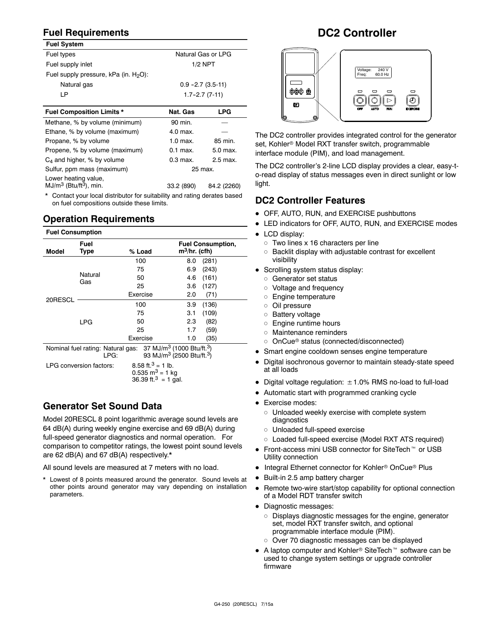# **Fuel Requirements**

| <b>Fuel System</b>                       |                     |                     |  |
|------------------------------------------|---------------------|---------------------|--|
| Fuel types                               | Natural Gas or LPG  |                     |  |
| Fuel supply inlet                        | $1/2$ NPT           |                     |  |
| Fuel supply pressure, kPa (in. $H_2O$ ): |                     |                     |  |
| Natural gas                              | $0.9 - 2.7(3.5-11)$ |                     |  |
| LP                                       |                     | $1.7 - 2.7(7 - 11)$ |  |
|                                          |                     |                     |  |
|                                          |                     |                     |  |
| <b>Fuel Composition Limits *</b>         | Nat. Gas            | LPG                 |  |
| Methane, % by volume (minimum)           | 90 min.             |                     |  |
| Ethane, % by volume (maximum)            | 4.0 max.            |                     |  |
| Propane, % by volume                     | $1.0$ max.          | 85 min.             |  |
| Propene, % by volume (maximum)           | $0.1$ max.          | 5.0 max.            |  |
| $C_4$ and higher, % by volume            | $0.3$ max.          | 2.5 max.            |  |

Lower heating value,  $MJ/m<sup>3</sup> (Btu/t<sup>3</sup>)$ , min.  $33.2 (890)$  84.2 (2260)

\* Contact your local distributor for suitability and rating derates based on fuel compositions outside these limits.

# **Operation Requirements**

| <b>Fuel Consumption</b>                                                                                                                          |                         |                                                                                                 |                                             |  |  |
|--------------------------------------------------------------------------------------------------------------------------------------------------|-------------------------|-------------------------------------------------------------------------------------------------|---------------------------------------------|--|--|
| Model                                                                                                                                            | Fuel<br>Type            | % Load                                                                                          | <b>Fuel Consumption,</b><br>$m^3/hr.$ (cfh) |  |  |
|                                                                                                                                                  |                         | 100                                                                                             | (281)<br>8.0                                |  |  |
|                                                                                                                                                  |                         | 75                                                                                              | (243)<br>6.9                                |  |  |
|                                                                                                                                                  | Natural                 | 50                                                                                              | (161)<br>4.6                                |  |  |
|                                                                                                                                                  | Gas                     | 25                                                                                              | (127)<br>3.6                                |  |  |
| 20RESCL                                                                                                                                          |                         | Exercise                                                                                        | (71)<br>2.0                                 |  |  |
|                                                                                                                                                  |                         | 100                                                                                             | (136)<br>3.9                                |  |  |
|                                                                                                                                                  |                         | 75                                                                                              | (109)<br>3.1                                |  |  |
|                                                                                                                                                  | LPG                     | 50                                                                                              | 2.3<br>(82)                                 |  |  |
|                                                                                                                                                  |                         | 25                                                                                              | 1.7<br>(59)                                 |  |  |
|                                                                                                                                                  |                         | Exercise                                                                                        | 1.0<br>(35)                                 |  |  |
| Nominal fuel rating: Natural gas: 37 MJ/m <sup>3</sup> (1000 Btu/ft. <sup>3</sup> )<br>93 MJ/m <sup>3</sup> (2500 Btu/ft. <sup>3</sup> )<br>LPG: |                         |                                                                                                 |                                             |  |  |
|                                                                                                                                                  | LPG conversion factors: | 8.58 ft. <sup>3</sup> = 1 lb.<br>0.535 m <sup>3</sup> = 1 kg<br>36.39 ft. <sup>3</sup> = 1 gal. |                                             |  |  |

# **Generator Set Sound Data**

Model 20RESCL 8 point logarithmic average sound levels are 64 dB(A) during weekly engine exercise and 69 dB(A) during full-speed generator diagnostics and normal operation. For comparison to competitor ratings, the lowest point sound levels are 62 dB(A) and 67 dB(A) respectively.\*

All sound levels are measured at 7 meters with no load.

Lowest of 8 points measured around the generator. Sound levels at other points around generator may vary depending on installation parameters.

# **DC2 Controller**



The DC2 controller provides integrated control for the generator set, Kohler<sup>®</sup> Model RXT transfer switch, programmable interface module (PIM), and load management.

The DC2 controller's 2-line LCD display provides a clear, easy-to-read display of status messages even in direct sunlight or low light.

# **DC2 Controller Features**

- OFF, AUTO, RUN, and EXERCISE pushbuttons
- LED indicators for OFF, AUTO, RUN, and EXERCISE modes
- $\bullet$  LCD display:
	- $\circ$  Two lines x 16 characters per line
	- $\circ$  Backlit display with adjustable contrast for excellent visibility
- Scrolling system status display:
	- o Generator set status
	- o Voltage and frequency
	- o Engine temperature
	- o Oil pressure
	- o Battery voltage
	- $\circ$  Engine runtime hours
	- o Maintenance reminders
	- o OnCue<sup>®</sup> status (connected/disconnected)
- Smart engine cooldown senses engine temperature
- Digital isochronous governor to maintain steady-state speed at all loads
- Digital voltage regulation:  $\pm$  1.0% RMS no-load to full-load
- Automatic start with programmed cranking cycle
- Exercise modes:
	- $\circ$  Unloaded weekly exercise with complete system diagnostics
	- o Unloaded full-speed exercise
	- o Loaded full-speed exercise (Model RXT ATS required)
- Front-access mini USB connector for SiteTech<sup>™</sup> or USB Utility connection
- Integral Ethernet connector for Kohler<sup>®</sup> OnCue<sup>®</sup> Plus
- Built-in 2.5 amp battery charger
- Remote two-wire start/stop capability for optional connection of a Model RDT transfer switch
- Diagnostic messages:
	- $\circ$  Displays diagnostic messages for the engine, generator set, model RXT transfer switch, and optional programmable interface module (PIM).
	- o Over 70 diagnostic messages can be displayed
- $\bullet$  A laptop computer and Kohler<sup>®</sup> SiteTech<sup>™</sup> software can be used to change system settings or upgrade controller firmware